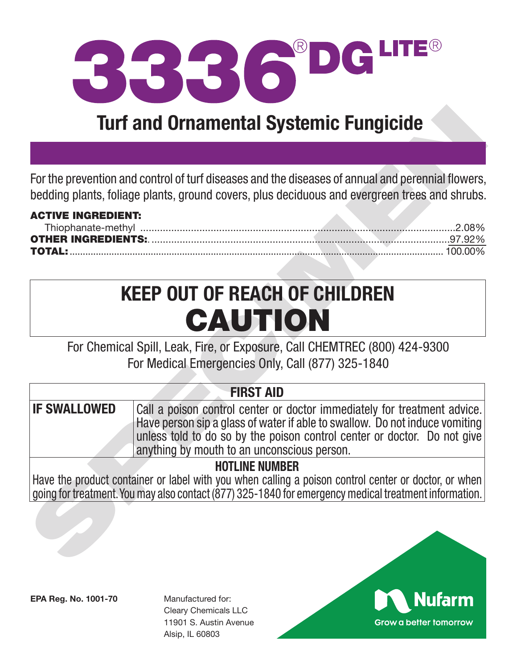

## **Turf and Ornamental Systemic Fungicide**

| <b>ACTIVE INGREDIENT:</b> |  |  |
|---------------------------|--|--|
|                           |  |  |
|                           |  |  |
|                           |  |  |

# **KEEP OUT OF REACH OF CHILDREN** CAUTION

|                                     | <b>Turf and Ornamental Systemic Fungicide</b>                                                                                                                                                                                                                                      |
|-------------------------------------|------------------------------------------------------------------------------------------------------------------------------------------------------------------------------------------------------------------------------------------------------------------------------------|
|                                     |                                                                                                                                                                                                                                                                                    |
|                                     | For the prevention and control of turf diseases and the diseases of annual and perennial flowers,<br>bedding plants, foliage plants, ground covers, plus deciduous and evergreen trees and shrubs.                                                                                 |
| <b>ACTIVE INGREDIENT:</b><br>FOTAL: |                                                                                                                                                                                                                                                                                    |
|                                     | <b>KEEP OUT OF REACH OF CHILDREN</b><br>CAUTION                                                                                                                                                                                                                                    |
|                                     | For Chemical Spill, Leak, Fire, or Exposure, Call CHEMTREC (800) 424-9300<br>For Medical Emergencies Only, Call (877) 325-1840                                                                                                                                                     |
|                                     | <b>FIRST AID</b>                                                                                                                                                                                                                                                                   |
| <b>IF SWALLOWED</b>                 | Call a poison control center or doctor immediately for treatment advice.<br>Have person sip a glass of water if able to swallow. Do not induce vomiting<br>unless told to do so by the poison control center or doctor. Do not give<br>anything by mouth to an unconscious person. |
|                                     | <b>HOTLINE NUMBER</b><br>Have the product container or label with you when calling a poison control center or doctor, or when<br>going for treatment. You may also contact (877) 325-1840 for emergency medical treatment information.                                             |
|                                     |                                                                                                                                                                                                                                                                                    |

**EPA Reg. No. 1001-70**

Manufactured for: Cleary Chemicals LLC 11901 S. Austin Avenue Alsip, IL 60803

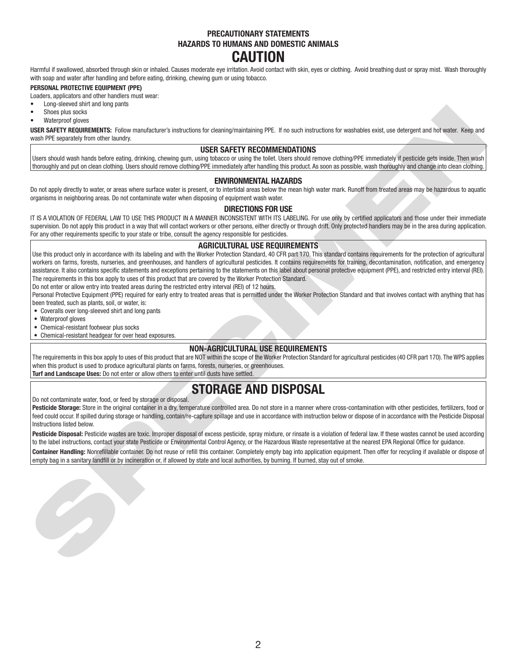#### **PRECAUTIONARY STATEMENTS HAZARDS TO HUMANS AND DOMESTIC ANIMALS CAUTION**

Harmful if swallowed, absorbed through skin or inhaled. Causes moderate eye irritation. Avoid contact with skin, eyes or clothing. Avoid breathing dust or spray mist. Wash thoroughly with soap and water after handling and before eating, drinking, chewing gum or using tobacco.

#### **PERSONAL PROTECTIVE EQUIPMENT (PPE)**

Loaders, applicators and other handlers must wear:

- Long-sleeved shirt and long pants
- Shoes plus socks
- Waterproof gloves

**USER SAFETY REQUIREMENTS:** Follow manufacturer's instructions for cleaning/maintaining PPE. If no such instructions for washables exist, use detergent and hot water. Keep and wash PPE separately from other laundry.

#### **USER SAFETY RECOMMENDATIONS**

Users should wash hands before eating, drinking, chewing gum, using tobacco or using the toilet. Users should remove clothing/PPE immediately if pesticide gets inside. Then wash thoroughly and put on clean clothing. Users should remove clothing/PPE immediately after handling this product. As soon as possible, wash thoroughly and change into clean clothing.

#### **ENVIRONMENTAL HAZARDS**

Do not apply directly to water, or areas where surface water is present, or to intertidal areas below the mean high water mark. Runoff from treated areas may be hazardous to aquatic organisms in neighboring areas. Do not contaminate water when disposing of equipment wash water.

#### **DIRECTIONS FOR USE**

IT IS A VIOLATION OF FEDERAL LAW TO USE THIS PRODUCT IN A MANNER INCONSISTENT WITH ITS LABELING. For use only by certified applicators and those under their immediate supervision. Do not apply this product in a way that will contact workers or other persons, either directly or through drift. Only protected handlers may be in the area during application. For any other requirements specific to your state or tribe, consult the agency responsible for pesticides.

#### **AGRICULTURAL USE REQUIREMENTS**

CONSULTER A CONSULTER CONTINUES INTO A CONSULTER A CONSULTER CONTINUES IN A CONSULTER CONSULTER CONTINUES IN A CONSULTER CONSULTER CONTINUES INTO A CONSULTER CONSULTER CONTINUES INTO A CONSULTER CONSULTER CONTINUES INTO A Use this product only in accordance with its labeling and with the Worker Protection Standard, 40 CFR part 170. This standard contains requirements for the protection of agricultural workers on farms, forests, nurseries, and greenhouses, and handlers of agricultural pesticides. It contains requirements for training, decontamination, notification, and emergency assistance. It also contains specific statements and exceptions pertaining to the statements on this label about personal protective equipment (PPE), and restricted entry interval (REI). The requirements in this box apply to uses of this product that are covered by the Worker Protection Standard.

Do not enter or allow entry into treated areas during the restricted entry interval (REI) of 12 hours.

Personal Protective Equipment (PPE) required for early entry to treated areas that is permitted under the Worker Protection Standard and that involves contact with anything that has been treated, such as plants, soil, or water, is:

- Coveralls over long-sleeved shirt and long pants
- Waterproof gloves

• Chemical-resistant footwear plus socks

• Chemical-resistant headgear for over head exposures.

#### **NON-AGRICULTURAL USE REQUIREMENTS**

The requirements in this box apply to uses of this product that are NOT within the scope of the Worker Protection Standard for agricultural pesticides (40 CFR part 170). The WPS applies when this product is used to produce agricultural plants on farms, forests, nurseries, or greenhouses. **Turf and Landscape Uses:** Do not enter or allow others to enter until dusts have settled.

### **STORAGE AND DISPOSAL**

Do not contaminate water, food, or feed by storage or disposal.

Pesticide Storage: Store in the original container in a dry, temperature controlled area. Do not store in a manner where cross-contamination with other pesticides, fertilizers, food or feed could occur. If spilled during storage or handling, contain/re-capture spillage and use in accordance with instruction below or dispose of in accordance with the Pesticide Disposal Instructions listed below.

Pesticide Disposal: Pesticide wastes are toxic. Improper disposal of excess pesticide, spray mixture, or rinsate is a violation of federal law. If these wastes cannot be used according to the label instructions, contact your state Pesticide or Environmental Control Agency, or the Hazardous Waste representative at the nearest EPA Regional Office for guidance. **Container Handling:** Nonrefillable container. Do not reuse or refill this container. Completely empty bag into application equipment. Then offer for recycling if available or dispose of empty bag in a sanitary landfill or by incineration or, if allowed by state and local authorities, by burning. If burned, stay out of smoke.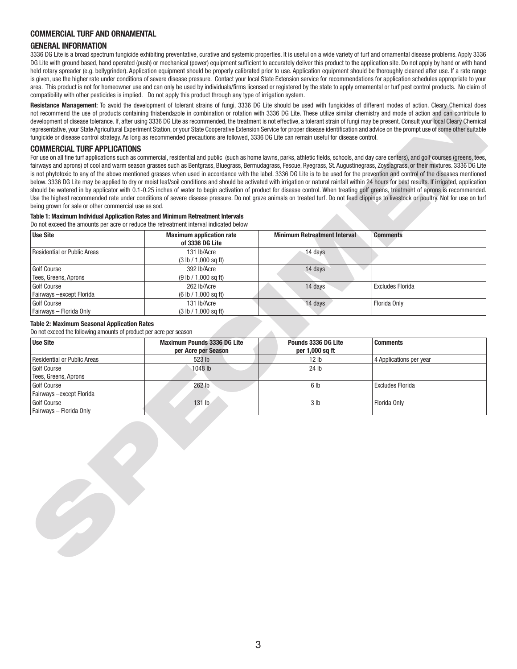#### **COMMERCIAL TURF AND ORNAMENTAL**

#### **GENERAL INFORMATION**

3336 DG Lite is a broad spectrum fungicide exhibiting preventative, curative and systemic properties. It is useful on a wide variety of turf and ornamental disease problems. Apply 3336 DG Lite with ground based, hand operated (push) or mechanical (power) equipment sufficient to accurately deliver this product to the application site. Do not apply by hand or with hand held rotary spreader (e.g. bellygrinder). Application equipment should be properly calibrated prior to use. Application equipment should be thoroughly cleaned after use. If a rate range is given, use the higher rate under conditions of severe disease pressure. Contact your local State Extension service for recommendations for application schedules appropriate to your area. This product is not for homeowner use and can only be used by individuals/firms licensed or registered by the state to apply ornamental or turf pest control products. No claim of compatibility with other pesticides is implied. Do not apply this product through any type of irrigation system.

**Resistance Management**: To avoid the development of tolerant strains of fungi, 3336 DG Lite should be used with fungicides of different modes of action. Cleary Chemical does not recommend the use of products containing thiabendazole in combination or rotation with 3336 DG Lite. These utilize similar chemistry and mode of action and can contribute to development of disease tolerance. If, after using 3336 DG Lite as recommended, the treatment is not effective, a tolerant strain of fungi may be present. Consult your local Cleary Chemical representative, your State Agricultural Experiment Station, or your State Cooperative Extension Service for proper disease identification and advice on the prompt use of some other suitable fungicide or disease control strategy. As long as recommended precautions are followed, 3336 DG Lite can remain useful for disease control.

#### **COMMERCIAL TURF APPLICATIONS**

#### **Table 1: Maximum Individual Application Rates and Minimum Retreatment Intervals**

|                                                                                                                                             |                                     |                                     | Resistance Management: 10 avoid the development of tolerant strains of lungi, 3336 DG Lite should be used with lungicides of different modes of action. Gleary Ghernical does                                                                                                                                                                                                     |
|---------------------------------------------------------------------------------------------------------------------------------------------|-------------------------------------|-------------------------------------|-----------------------------------------------------------------------------------------------------------------------------------------------------------------------------------------------------------------------------------------------------------------------------------------------------------------------------------------------------------------------------------|
|                                                                                                                                             |                                     |                                     | not recommend the use of products containing thiabendazole in combination or rotation with 3336 DG Lite. These utilize similar chemistry and mode of action and can contribute to<br>development of disease tolerance. If, after using 3336 DG Lite as recommended, the treatment is not effective, a tolerant strain of fungi may be present. Consult your local Cleary Chemical |
|                                                                                                                                             |                                     |                                     | representative, your State Agricultural Experiment Station, or your State Cooperative Extension Service for proper disease identification and advice on the prompt use of some other suitable                                                                                                                                                                                     |
| fungicide or disease control strategy. As long as recommended precautions are followed, 3336 DG Lite can remain useful for disease control. |                                     |                                     |                                                                                                                                                                                                                                                                                                                                                                                   |
| <b>COMMERCIAL TURF APPLICATIONS</b>                                                                                                         |                                     |                                     |                                                                                                                                                                                                                                                                                                                                                                                   |
|                                                                                                                                             |                                     |                                     | For use on all fine turf applications such as commercial, residential and public (such as home lawns, parks, athletic fields, schools, and day care centers), and golf courses (greens, tees,                                                                                                                                                                                     |
|                                                                                                                                             |                                     |                                     | fairways and aprons) of cool and warm season grasses such as Bentgrass, Bluegrass, Bermudagrass, Fescue, Ryegrass, St. Augustinegrass, Zoysiagrass, or their mixtures. 3336 DG Lite                                                                                                                                                                                               |
|                                                                                                                                             |                                     |                                     | is not phytotoxic to any of the above mentioned grasses when used in accordance with the label. 3336 DG Lite is to be used for the prevention and control of the diseases mentioned                                                                                                                                                                                               |
|                                                                                                                                             |                                     |                                     | below. 3336 DG Lite may be applied to dry or moist leaf/soil conditions and should be activated with irrigation or natural rainfall within 24 hours for best results. If irrigated, application                                                                                                                                                                                   |
|                                                                                                                                             |                                     |                                     | should be watered in by applicator with 0.1-0.25 inches of water to begin activation of product for disease control. When treating golf greens, treatment of aprons is recommended.                                                                                                                                                                                               |
|                                                                                                                                             |                                     |                                     | Use the highest recommended rate under conditions of severe disease pressure. Do not graze animals on treated turf. Do not feed clippings to livestock or poultry. Not for use on turf                                                                                                                                                                                            |
| being grown for sale or other commercial use as sod.                                                                                        |                                     |                                     |                                                                                                                                                                                                                                                                                                                                                                                   |
| Table 1: Maximum Individual Application Rates and Minimum Retreatment Intervals                                                             |                                     |                                     |                                                                                                                                                                                                                                                                                                                                                                                   |
| Do not exceed the amounts per acre or reduce the retreatment interval indicated below                                                       |                                     |                                     |                                                                                                                                                                                                                                                                                                                                                                                   |
| <b>Use Site</b>                                                                                                                             | <b>Maximum application rate</b>     | <b>Minimum Retreatment Interval</b> | <b>Comments</b>                                                                                                                                                                                                                                                                                                                                                                   |
|                                                                                                                                             | of 3336 DG Lite                     |                                     |                                                                                                                                                                                                                                                                                                                                                                                   |
| <b>Residential or Public Areas</b>                                                                                                          | 131 lb/Acre                         | 14 days                             |                                                                                                                                                                                                                                                                                                                                                                                   |
|                                                                                                                                             | (3 lb / 1,000 sq ft)                |                                     |                                                                                                                                                                                                                                                                                                                                                                                   |
| Golf Course                                                                                                                                 | 392 lb/Acre                         | 14 days                             |                                                                                                                                                                                                                                                                                                                                                                                   |
| Tees, Greens, Aprons<br>Golf Course                                                                                                         | (9 lb / 1,000 sq ft)                | 14 days                             | <b>Excludes Florida</b>                                                                                                                                                                                                                                                                                                                                                           |
| Fairways -except Florida                                                                                                                    | 262 lb/Acre<br>(6 lb / 1,000 sq ft) |                                     |                                                                                                                                                                                                                                                                                                                                                                                   |
| Golf Course                                                                                                                                 | 131 lb/Acre                         | 14 days                             | Florida Only                                                                                                                                                                                                                                                                                                                                                                      |
| Fairways - Florida Only                                                                                                                     | (3 lb / 1,000 sq ft)                |                                     |                                                                                                                                                                                                                                                                                                                                                                                   |
|                                                                                                                                             |                                     |                                     |                                                                                                                                                                                                                                                                                                                                                                                   |
| <b>Table 2: Maximum Seasonal Application Rates</b><br>Do not exceed the following amounts of product per acre per season                    |                                     |                                     |                                                                                                                                                                                                                                                                                                                                                                                   |
|                                                                                                                                             |                                     |                                     |                                                                                                                                                                                                                                                                                                                                                                                   |
|                                                                                                                                             |                                     |                                     |                                                                                                                                                                                                                                                                                                                                                                                   |
| <b>Use Site</b>                                                                                                                             | <b>Maximum Pounds 3336 DG Lite</b>  | Pounds 3336 DG Lite                 | <b>Comments</b>                                                                                                                                                                                                                                                                                                                                                                   |
|                                                                                                                                             | per Acre per Season                 | per 1,000 sq ft                     |                                                                                                                                                                                                                                                                                                                                                                                   |
| <b>Residential or Public Areas</b><br>Golf Course                                                                                           | 523 lb<br>1048 lb                   | 12 <sub>lb</sub><br>24 lb           | 4 Applications per year                                                                                                                                                                                                                                                                                                                                                           |
| Tees, Greens, Aprons                                                                                                                        |                                     |                                     |                                                                                                                                                                                                                                                                                                                                                                                   |
| <b>Golf Course</b>                                                                                                                          | 262 lb                              | 6 <sub>lb</sub>                     | <b>Excludes Florida</b>                                                                                                                                                                                                                                                                                                                                                           |
| Fairways - except Florida                                                                                                                   |                                     |                                     |                                                                                                                                                                                                                                                                                                                                                                                   |
| Golf Course                                                                                                                                 | 131 lb                              | 3 <sub>lb</sub>                     | Florida Only                                                                                                                                                                                                                                                                                                                                                                      |
| Fairways - Florida Only                                                                                                                     |                                     |                                     |                                                                                                                                                                                                                                                                                                                                                                                   |
|                                                                                                                                             |                                     |                                     |                                                                                                                                                                                                                                                                                                                                                                                   |
|                                                                                                                                             |                                     |                                     |                                                                                                                                                                                                                                                                                                                                                                                   |
|                                                                                                                                             |                                     |                                     |                                                                                                                                                                                                                                                                                                                                                                                   |
|                                                                                                                                             |                                     |                                     |                                                                                                                                                                                                                                                                                                                                                                                   |
|                                                                                                                                             |                                     |                                     |                                                                                                                                                                                                                                                                                                                                                                                   |
|                                                                                                                                             |                                     |                                     |                                                                                                                                                                                                                                                                                                                                                                                   |
|                                                                                                                                             |                                     |                                     |                                                                                                                                                                                                                                                                                                                                                                                   |
|                                                                                                                                             |                                     |                                     |                                                                                                                                                                                                                                                                                                                                                                                   |
|                                                                                                                                             |                                     |                                     |                                                                                                                                                                                                                                                                                                                                                                                   |
|                                                                                                                                             |                                     |                                     |                                                                                                                                                                                                                                                                                                                                                                                   |
|                                                                                                                                             |                                     |                                     |                                                                                                                                                                                                                                                                                                                                                                                   |
|                                                                                                                                             |                                     |                                     |                                                                                                                                                                                                                                                                                                                                                                                   |
|                                                                                                                                             |                                     |                                     |                                                                                                                                                                                                                                                                                                                                                                                   |
|                                                                                                                                             |                                     |                                     |                                                                                                                                                                                                                                                                                                                                                                                   |
|                                                                                                                                             |                                     |                                     |                                                                                                                                                                                                                                                                                                                                                                                   |
|                                                                                                                                             |                                     |                                     |                                                                                                                                                                                                                                                                                                                                                                                   |

#### **Table 2: Maximum Seasonal Application Rates**

| <b>Use Site</b>                          | <b>Maximum Pounds 3336 DG Lite</b><br>per Acre per Season | Pounds 3336 DG Lite<br>per 1,000 sq ft | <b>Comments</b>         |  |
|------------------------------------------|-----------------------------------------------------------|----------------------------------------|-------------------------|--|
| Residential or Public Areas              | 523 lb                                                    | 12 <sub>h</sub>                        | 4 Applications per year |  |
| Golf Course<br>Tees, Greens, Aprons      | 1048 lb                                                   | 24 lb                                  |                         |  |
| Golf Course<br>Fairways - except Florida | 262 lb                                                    | 6 lb                                   | Excludes Florida        |  |
| Golf Course<br>Fairways - Florida Only   | $131$ lb                                                  | 3 <sub>lb</sub>                        | Florida Only            |  |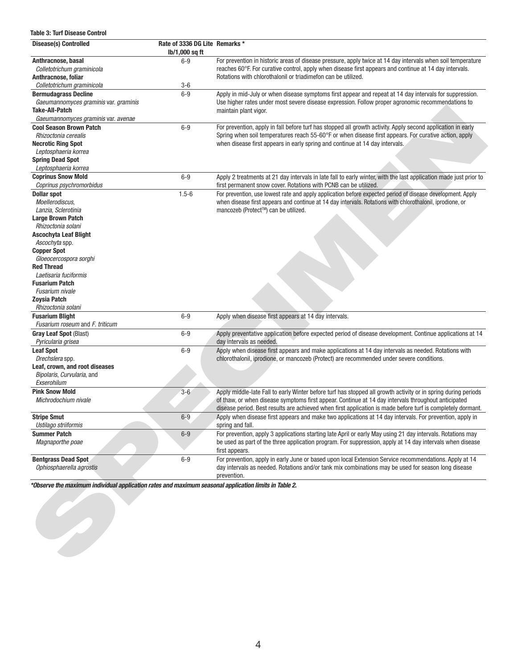#### **Table 3: Turf Disease Control**

|                                                                  | Rate of 3336 DG Lite Remarks *<br>lb/1,000 sq ft |                                                                                                                          |
|------------------------------------------------------------------|--------------------------------------------------|--------------------------------------------------------------------------------------------------------------------------|
| Anthracnose, basal                                               | $6-9$                                            | For prevention in historic areas of disease pressure, apply twice at 14 day intervals when soil temperature              |
| Colletotrichum graminicola                                       |                                                  | reaches 60°F. For curative control, apply when disease first appears and continue at 14 day intervals.                   |
| Anthracnose, foliar                                              |                                                  | Rotations with chlorothalonil or triadimefon can be utilized.                                                            |
| Colletotrichum graminicola                                       | $3-6$                                            |                                                                                                                          |
| <b>Bermudagrass Decline</b>                                      | $6-9$                                            | Apply in mid-July or when disease symptoms first appear and repeat at 14 day intervals for suppression.                  |
| Gaeumannomyces graminis var. graminis                            |                                                  | Use higher rates under most severe disease expression. Follow proper agronomic recommendations to                        |
| Take-All-Patch<br>Gaeumannomyces graminis var. avenae            |                                                  | maintain plant vigor.                                                                                                    |
| <b>Cool Season Brown Patch</b>                                   | $6-9$                                            | For prevention, apply in fall before turf has stopped all growth activity. Apply second application in early             |
| Rhizoctonia cerealis                                             |                                                  | Spring when soil temperatures reach 55-60°F or when disease first appears. For curative action, apply                    |
| <b>Necrotic Ring Spot</b>                                        |                                                  | when disease first appears in early spring and continue at 14 day intervals.                                             |
| Leptosphaeria korrea                                             |                                                  |                                                                                                                          |
| <b>Spring Dead Spot</b>                                          |                                                  |                                                                                                                          |
| Leptosphaeria korrea                                             |                                                  |                                                                                                                          |
| <b>Coprinus Snow Mold</b>                                        | $6-9$                                            | Apply 2 treatments at 21 day intervals in late fall to early winter, with the last application made just prior to        |
| Coprinus psychromorbidus                                         |                                                  | first permanent snow cover. Rotations with PCNB can be utilized.                                                         |
| <b>Dollar spot</b>                                               | $1.5 - 6$                                        | For prevention, use lowest rate and apply application before expected period of disease development. Apply               |
| Moellerodiscus,                                                  |                                                  | when disease first appears and continue at 14 day intervals. Rotations with chlorothalonil, iprodione, or                |
| Lanzia, Sclerotinia                                              |                                                  | mancozeb (Protect™) can be utilized.                                                                                     |
| Large Brown Patch                                                |                                                  |                                                                                                                          |
| Rhizoctonia solani                                               |                                                  |                                                                                                                          |
| Ascochyta Leaf Blight                                            |                                                  |                                                                                                                          |
| Ascochyta spp.                                                   |                                                  |                                                                                                                          |
| <b>Copper Spot</b>                                               |                                                  |                                                                                                                          |
| Gloeocercospora sorghi<br><b>Red Thread</b>                      |                                                  |                                                                                                                          |
| Laetisaria fuciformis                                            |                                                  |                                                                                                                          |
| Fusarium Patch                                                   |                                                  |                                                                                                                          |
| Fusarium nivale                                                  |                                                  |                                                                                                                          |
| Zoysia Patch                                                     |                                                  |                                                                                                                          |
| Rhizoctonia solani                                               |                                                  |                                                                                                                          |
| <b>Fusarium Blight</b>                                           | $6-9$                                            | Apply when disease first appears at 14 day intervals.                                                                    |
| Fusarium roseum and F. triticum<br><b>Gray Leaf Spot (Blast)</b> | $6-9$                                            | Apply preventative application before expected period of disease development. Continue applications at 14                |
| Pyricularia grisea                                               |                                                  | day intervals as needed.                                                                                                 |
| <b>Leaf Spot</b>                                                 | $6-9$                                            | Apply when disease first appears and make applications at 14 day intervals as needed. Rotations with                     |
| Drechslera spp.                                                  |                                                  | chlorothalonil, iprodione, or mancozeb (Protect) are recommended under severe conditions.                                |
| Leaf, crown, and root diseases                                   |                                                  |                                                                                                                          |
| Bipolaris, Curvularia, and                                       |                                                  |                                                                                                                          |
| Exserohilum                                                      |                                                  |                                                                                                                          |
| <b>Pink Snow Mold</b>                                            | $3-6$                                            | Apply middle-late Fall to early Winter before turf has stopped all growth activity or in spring during periods           |
| Michrodochium nivale                                             |                                                  | of thaw, or when disease symptoms first appear. Continue at 14 day intervals throughout anticipated                      |
|                                                                  |                                                  | disease period. Best results are achieved when first application is made before turf is completely dormant.              |
|                                                                  | $6 - 9$                                          | Apply when disease first appears and make two applications at 14 day intervals. For prevention, apply in                 |
| <b>Stripe Smut</b>                                               |                                                  |                                                                                                                          |
| Ustilago striiformis                                             |                                                  | spring and fall.                                                                                                         |
| <b>Summer Patch</b>                                              | $6-9$                                            | For prevention, apply 3 applications starting late April or early May using 21 day intervals. Rotations may              |
| Magnaporthe poae                                                 |                                                  | be used as part of the three application program. For suppression, apply at 14 day intervals when disease                |
| <b>Bentgrass Dead Spot</b>                                       | $6-9$                                            | first appears.<br>For prevention, apply in early June or based upon local Extension Service recommendations. Apply at 14 |